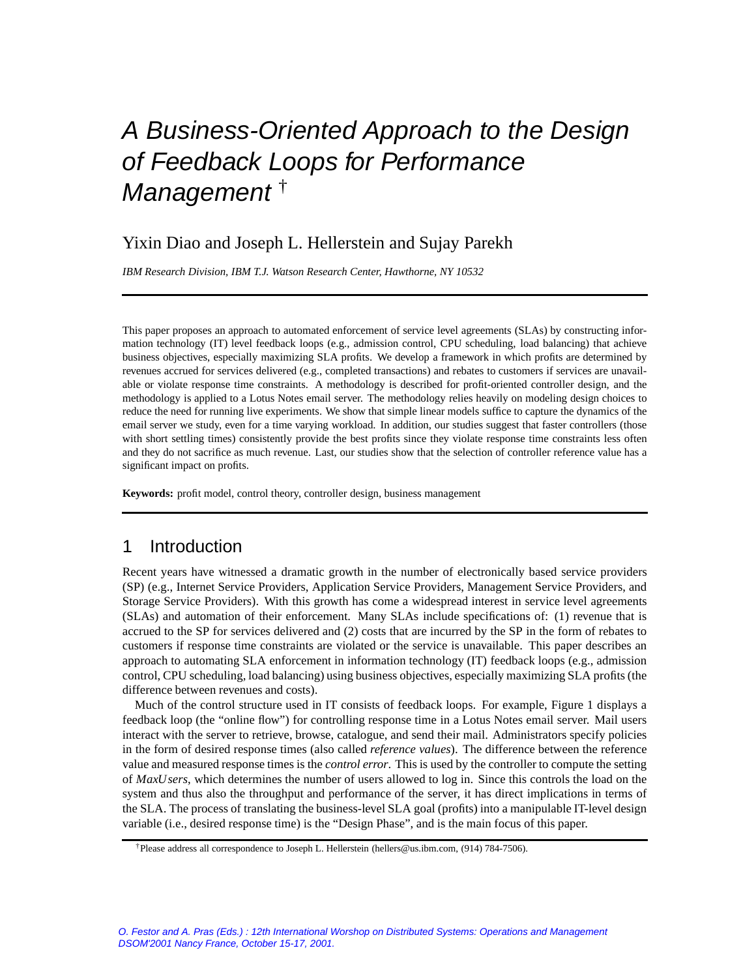# A Business-Oriented Approach to the Design of Feedback Loops for Performance Management<sup>†</sup>

# Yixin Diao and Joseph L. Hellerstein and Sujay Parekh

*IBM Research Division, IBM T.J. Watson Research Center, Hawthorne, NY 10532*

This paper proposes an approach to automated enforcement of service level agreements (SLAs) by constructing information technology (IT) level feedback loops (e.g., admission control, CPU scheduling, load balancing) that achieve business objectives, especially maximizing SLA profits. We develop a framework in which profits are determined by revenues accrued for services delivered (e.g., completed transactions) and rebates to customers if services are unavailable or violate response time constraints. A methodology is described for profit-oriented controller design, and the methodology is applied to a Lotus Notes email server. The methodology relies heavily on modeling design choices to reduce the need for running live experiments. We show that simple linear models suffice to capture the dynamics of the email server we study, even for a time varying workload. In addition, our studies suggest that faster controllers (those with short settling times) consistently provide the best profits since they violate response time constraints less often and they do not sacrifice as much revenue. Last, our studies show that the selection of controller reference value has a significant impact on profits.

**Keywords:** profit model, control theory, controller design, business management

## 1 Introduction

Recent years have witnessed a dramatic growth in the number of electronically based service providers (SP) (e.g., Internet Service Providers, Application Service Providers, Management Service Providers, and Storage Service Providers). With this growth has come a widespread interest in service level agreements (SLAs) and automation of their enforcement. Many SLAs include specifications of: (1) revenue that is accrued to the SP for services delivered and (2) costs that are incurred by the SP in the form of rebates to customers if response time constraints are violated or the service is unavailable. This paper describes an approach to automating SLA enforcement in information technology (IT) feedback loops (e.g., admission control, CPU scheduling, load balancing) using business objectives, especially maximizing SLA profits (the difference between revenues and costs).

Much of the control structure used in IT consists of feedback loops. For example, Figure 1 displays a feedback loop (the "online flow") for controlling response time in a Lotus Notes email server. Mail users interact with the server to retrieve, browse, catalogue, and send their mail. Administrators specify policies in the form of desired response times (also called *reference values*). The difference between the reference value and measured response times is the *control error*. This is used by the controller to compute the setting of *MaxUsers*, which determines the number of users allowed to log in. Since this controls the load on the system and thus also the throughput and performance of the server, it has direct implications in terms of the SLA. The process of translating the business-level SLA goal (profits) into a manipulable IT-level design variable (i.e., desired response time) is the "Design Phase", and is the main focus of this paper.

<sup>†</sup>Please address all correspondence to Joseph L. Hellerstein (hellers@us.ibm.com, (914) 784-7506).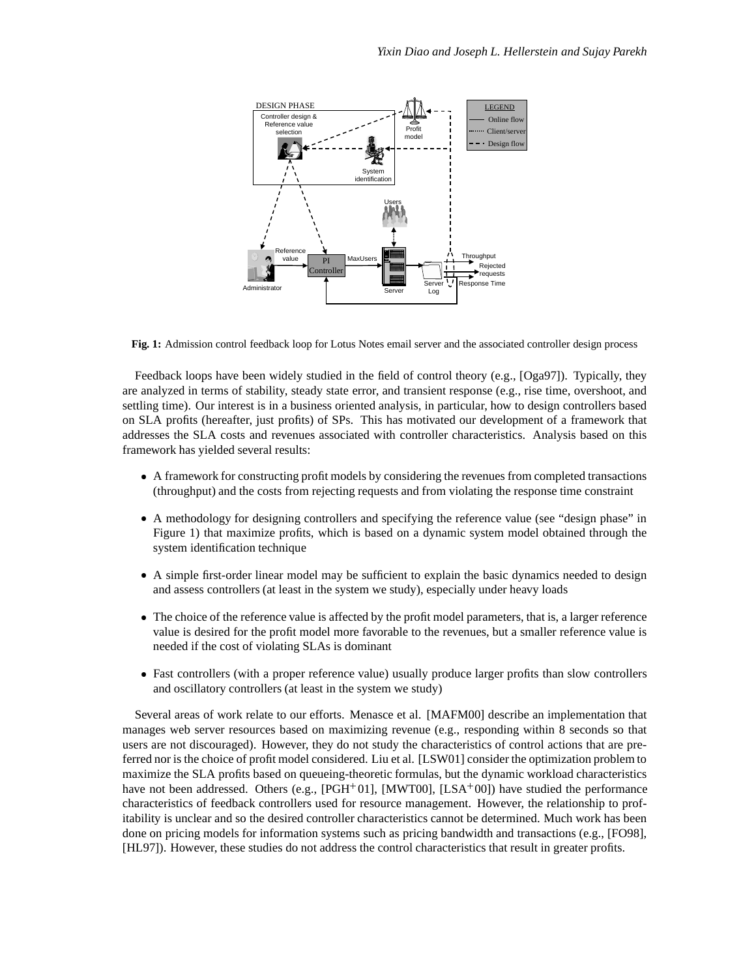

**Fig. 1:** Admission control feedback loop for Lotus Notes email server and the associated controller design process

Feedback loops have been widely studied in the field of control theory (e.g., [Oga97]). Typically, they are analyzed in terms of stability, steady state error, and transient response (e.g., rise time, overshoot, and settling time). Our interest is in a business oriented analysis, in particular, how to design controllers based on SLA profits (hereafter, just profits) of SPs. This has motivated our development of a framework that addresses the SLA costs and revenues associated with controller characteristics. Analysis based on this framework has yielded several results:

- A framework for constructing profit models by considering the revenues from completed transactions (throughput) and the costs from rejecting requests and from violating the response time constraint
- A methodology for designing controllers and specifying the reference value (see "design phase" in Figure 1) that maximize profits, which is based on a dynamic system model obtained through the system identification technique
- A simple first-order linear model may be sufficient to explain the basic dynamics needed to design and assess controllers (at least in the system we study), especially under heavy loads
- The choice of the reference value is affected by the profit model parameters, that is, a larger reference value is desired for the profit model more favorable to the revenues, but a smaller reference value is needed if the cost of violating SLAs is dominant
- Fast controllers (with a proper reference value) usually produce larger profits than slow controllers and oscillatory controllers (at least in the system we study)

Several areas of work relate to our efforts. Menasce et al. [MAFM00] describe an implementation that manages web server resources based on maximizing revenue (e.g., responding within 8 seconds so that users are not discouraged). However, they do not study the characteristics of control actions that are preferred nor is the choice of profit model considered. Liu et al. [LSW01] consider the optimization problem to maximize the SLA profits based on queueing-theoretic formulas, but the dynamic workload characteristics have not been addressed. Others (e.g., [PGH<sup>+</sup>01], [MWT00], [LSA<sup>+</sup>00]) have studied the performance characteristics of feedback controllers used for resource management. However, the relationship to profitability is unclear and so the desired controller characteristics cannot be determined. Much work has been done on pricing models for information systems such as pricing bandwidth and transactions (e.g., [FO98], [HL97]). However, these studies do not address the control characteristics that result in greater profits.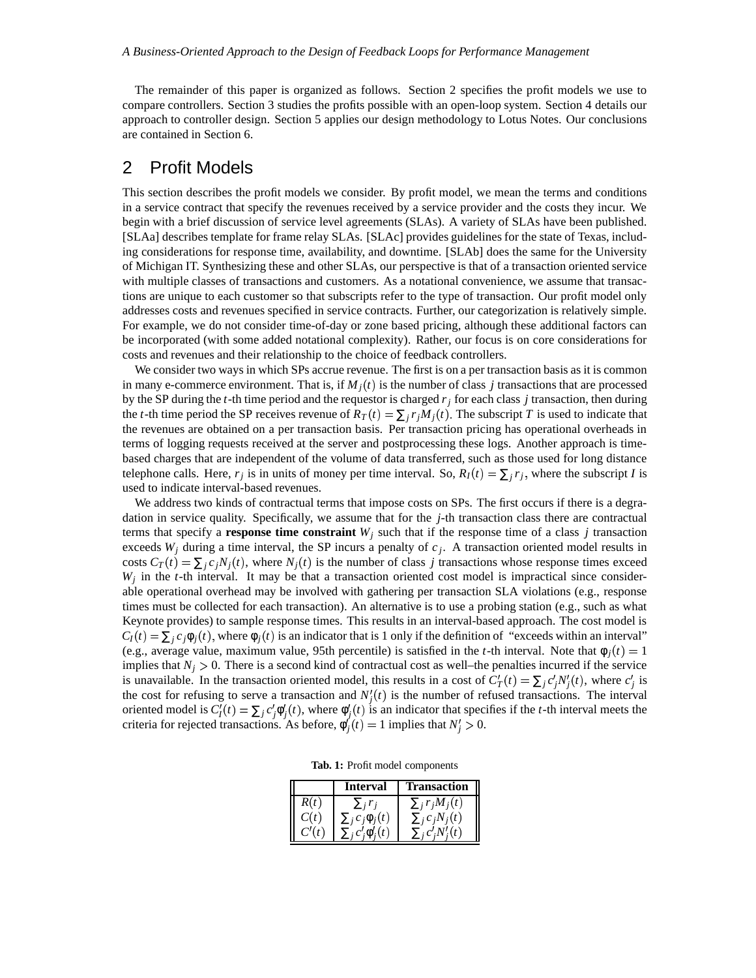The remainder of this paper is organized as follows. Section 2 specifies the profit models we use to compare controllers. Section 3 studies the profits possible with an open-loop system. Section 4 details our approach to controller design. Section 5 applies our design methodology to Lotus Notes. Our conclusions are contained in Section 6.

## 2 Profit Models

This section describes the profit models we consider. By profit model, we mean the terms and conditions in a service contract that specify the revenues received by a service provider and the costs they incur. We begin with a brief discussion of service level agreements (SLAs). A variety of SLAs have been published. [SLAa] describes template for frame relay SLAs. [SLAc] provides guidelines for the state of Texas, including considerations for response time, availability, and downtime. [SLAb] does the same for the University of Michigan IT. Synthesizing these and other SLAs, our perspective is that of a transaction oriented service with multiple classes of transactions and customers. As a notational convenience, we assume that transactions are unique to each customer so that subscripts refer to the type of transaction. Our profit model only addresses costs and revenues specified in service contracts. Further, our categorization is relatively simple. For example, we do not consider time-of-day or zone based pricing, although these additional factors can be incorporated (with some added notational complexity). Rather, our focus is on core considerations for costs and revenues and their relationship to the choice of feedback controllers.

We consider two ways in which SPs accrue revenue. The first is on a per transaction basis as it is common in many e-commerce environment. That is, if  $M_j(t)$  is the number of class *j* transactions that are processed by the SP during the *t*-th time period and the requestor is charged *r<sup>j</sup>* for each class *j* transaction, then during the *t*-th time period the SP receives revenue of  $R_T(t) = \sum_j r_j M_j(t)$ . The subscript *T* is used to indicate that the revenues are obtained on a per transaction basis. Per transaction pricing has operational overheads in terms of logging requests received at the server and postprocessing these logs. Another approach is timebased charges that are independent of the volume of data transferred, such as those used for long distance telephone calls. Here,  $r_j$  is in units of money per time interval. So,  $R_I(t) = \sum_j r_j$ , where the subscript *I* is used to indicate interval-based revenues.

We address two kinds of contractual terms that impose costs on SPs. The first occurs if there is a degradation in service quality. Specifically, we assume that for the *j*-th transaction class there are contractual terms that specify a **response time constraint**  $W_j$  such that if the response time of a class *j* transaction exceeds  $W_j$  during a time interval, the SP incurs a penalty of  $c_j$ . A transaction oriented model results in costs  $C_T(t) = \sum_j c_j N_j(t)$ , where  $N_j(t)$  is the number of class *j* transactions whose response times exceed  $W_j$  in the *t*-th interval. It may be that a transaction oriented cost model is impractical since considerable operational overhead may be involved with gathering per transaction SLA violations (e.g., response times must be collected for each transaction). An alternative is to use a probing station (e.g., such as what Keynote provides) to sample response times. This results in an interval-based approach. The cost model is  $C_I(t) = \sum_j c_j \phi_j(t)$ , where  $\phi_j(t)$  is an indicator that is 1 only if the definition of "exceeds within an interval" (e.g., average value, maximum value, 95th percentile) is satisfied in the *t*-th interval. Note that  $\phi_j(t) = 1$ implies that  $N_j > 0$ . There is a second kind of contractual cost as well–the penalties incurred if the service is unavailable. In the transaction oriented model, this results in a cost of  $C_T'(t) = \sum_j c_j' N_j'(t)$ , where  $c_j'$  is the cost for refusing to serve a transaction and  $N_j'(t)$  is the number of refused transactions. The interval oriented model is  $C'_I(t) = \sum_j c'_j \phi'_j(t)$ , where  $\phi'_j(t)$  is an indicator that specifies if the *t*-th interval meets the criteria for rejected transactions. As before,  $\phi'_j(t) = 1$  implies that  $N'_j > 0$ .

**Tab. 1:** Profit model components

|      | Interval               | Transaction           |
|------|------------------------|-----------------------|
| R(t) |                        | $\sum_i r_i M_i(t)$   |
| C(t) | $\sum_i c_i \phi_i(t)$ | $\sum_{i} c_i N_i(t)$ |
|      |                        |                       |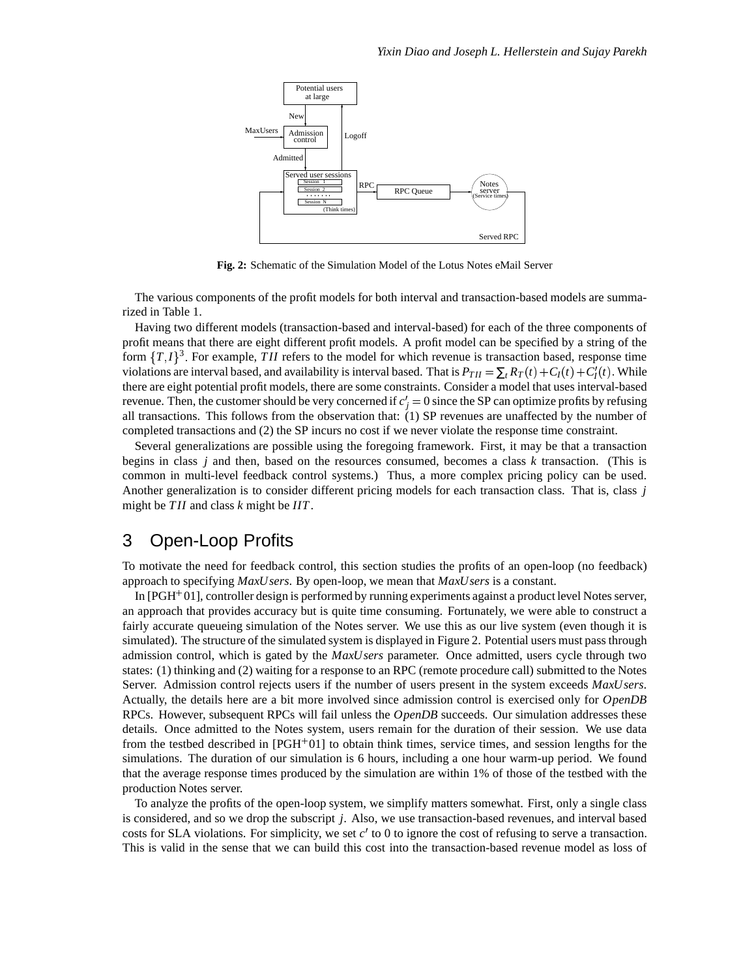

**Fig. 2:** Schematic of the Simulation Model of the Lotus Notes eMail Server

The various components of the profit models for both interval and transaction-based models are summarized in Table 1.

Having two different models (transaction-based and interval-based) for each of the three components of profit means that there are eight different profit models. A profit model can be specified by a string of the form  $\{T, I\}^3$ . For example, *TII* refers to the model for which revenue is transaction based, response time violations are interval based, and availability is interval based. That is  $P_{TH} = \sum_{t} R_T(t) + C_I(t) + C_I'(t)$ . While there are eight potential profit models, there are some constraints. Consider a model that uses interval-based revenue. Then, the customer should be very concerned if  $c_j' = 0$  since the SP can optimize profits by refusing all transactions. This follows from the observation that: (1) SP revenues are unaffected by the number of completed transactions and (2) the SP incurs no cost if we never violate the response time constraint.

Several generalizations are possible using the foregoing framework. First, it may be that a transaction begins in class *j* and then, based on the resources consumed, becomes a class *k* transaction. (This is common in multi-level feedback control systems.) Thus, a more complex pricing policy can be used. Another generalization is to consider different pricing models for each transaction class. That is, class *j* might be *TII* and class *k* might be *IIT*.

# 3 Open-Loop Profits

To motivate the need for feedback control, this section studies the profits of an open-loop (no feedback) approach to specifying *MaxUsers*. By open-loop, we mean that *MaxUsers* is a constant.

In [PGH 01], controller design is performed by running experiments against a product level Notes server, an approach that provides accuracy but is quite time consuming. Fortunately, we were able to construct a fairly accurate queueing simulation of the Notes server. We use this as our live system (even though it is simulated). The structure of the simulated system is displayed in Figure 2. Potential users must pass through admission control, which is gated by the *MaxUsers* parameter. Once admitted, users cycle through two states: (1) thinking and (2) waiting for a response to an RPC (remote procedure call) submitted to the Notes Server. Admission control rejects users if the number of users present in the system exceeds *MaxUsers*. Actually, the details here are a bit more involved since admission control is exercised only for *OpenDB* RPCs. However, subsequent RPCs will fail unless the *OpenDB* succeeds. Our simulation addresses these details. Once admitted to the Notes system, users remain for the duration of their session. We use data from the testbed described in [PGH<sup>+</sup>01] to obtain think times, service times, and session lengths for the simulations. The duration of our simulation is 6 hours, including a one hour warm-up period. We found that the average response times produced by the simulation are within 1% of those of the testbed with the production Notes server.

To analyze the profits of the open-loop system, we simplify matters somewhat. First, only a single class is considered, and so we drop the subscript *j*. Also, we use transaction-based revenues, and interval based costs for SLA violations. For simplicity, we set *c'* to 0 to ignore the cost of refusing to serve a transaction. This is valid in the sense that we can build this cost into the transaction-based revenue model as loss of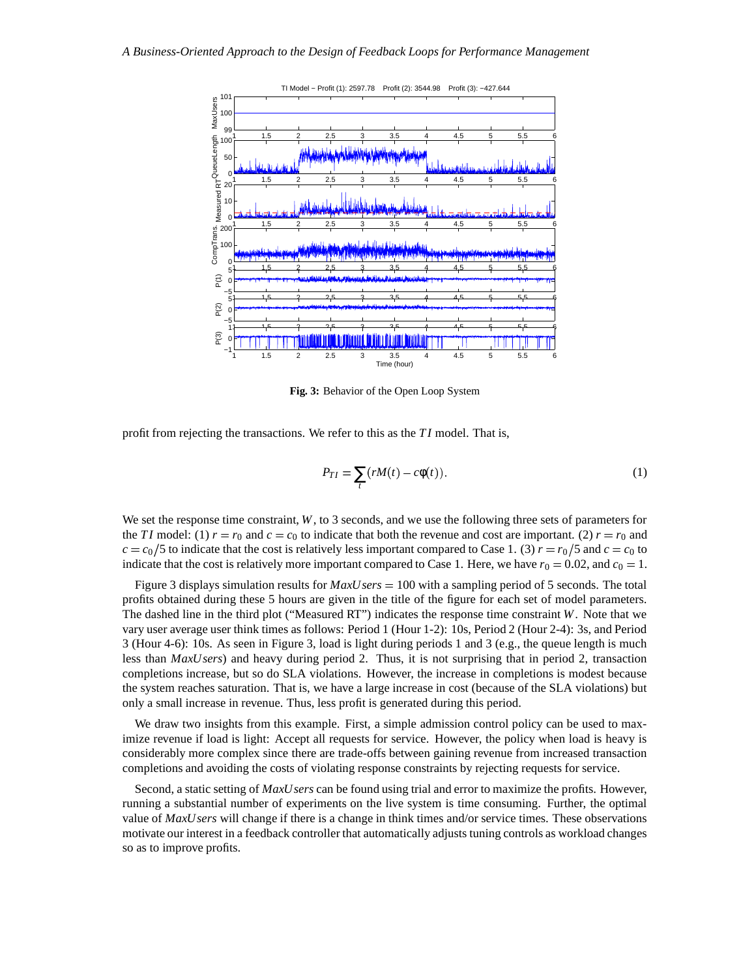

**Fig. 3:** Behavior of the Open Loop System

profit from rejecting the transactions. We refer to this as the *TI* model. That is,

$$
P_{TI} = \sum_{t} (rM(t) - c\phi(t)).
$$
\n(1)

We set the response time constraint, *W*, to 3 seconds, and we use the following three sets of parameters for the *TI* model: (1)  $r = r_0$  and  $c = c_0$  to indicate that both the revenue and cost are important. (2)  $r = r_0$  and  $c = c_0/5$  to indicate that the cost is relatively less important compared to Case 1. (3)  $r = r_0/5$  and  $c = c_0$  to indicate that the cost is relatively more important compared to Case 1. Here, we have  $r_0 = 0.02$ , and  $c_0 = 1$ .

Figure 3 displays simulation results for *MaxUsers* = 100 with a sampling period of 5 seconds. The total profits obtained during these 5 hours are given in the title of the figure for each set of model parameters. The dashed line in the third plot ("Measured RT") indicates the response time constraint *W*. Note that we vary user average user think times as follows: Period 1 (Hour 1-2): 10s, Period 2 (Hour 2-4): 3s, and Period 3 (Hour 4-6): 10s. As seen in Figure 3, load is light during periods 1 and 3 (e.g., the queue length is much less than *MaxUsers*) and heavy during period 2. Thus, it is not surprising that in period 2, transaction completions increase, but so do SLA violations. However, the increase in completions is modest because the system reaches saturation. That is, we have a large increase in cost (because of the SLA violations) but only a small increase in revenue. Thus, less profit is generated during this period.

We draw two insights from this example. First, a simple admission control policy can be used to maximize revenue if load is light: Accept all requests for service. However, the policy when load is heavy is considerably more complex since there are trade-offs between gaining revenue from increased transaction completions and avoiding the costs of violating response constraints by rejecting requests for service.

Second, a static setting of *MaxUsers* can be found using trial and error to maximize the profits. However, running a substantial number of experiments on the live system is time consuming. Further, the optimal value of *MaxUsers* will change if there is a change in think times and/or service times. These observations motivate our interest in a feedback controller that automatically adjusts tuning controls as workload changes so as to improve profits.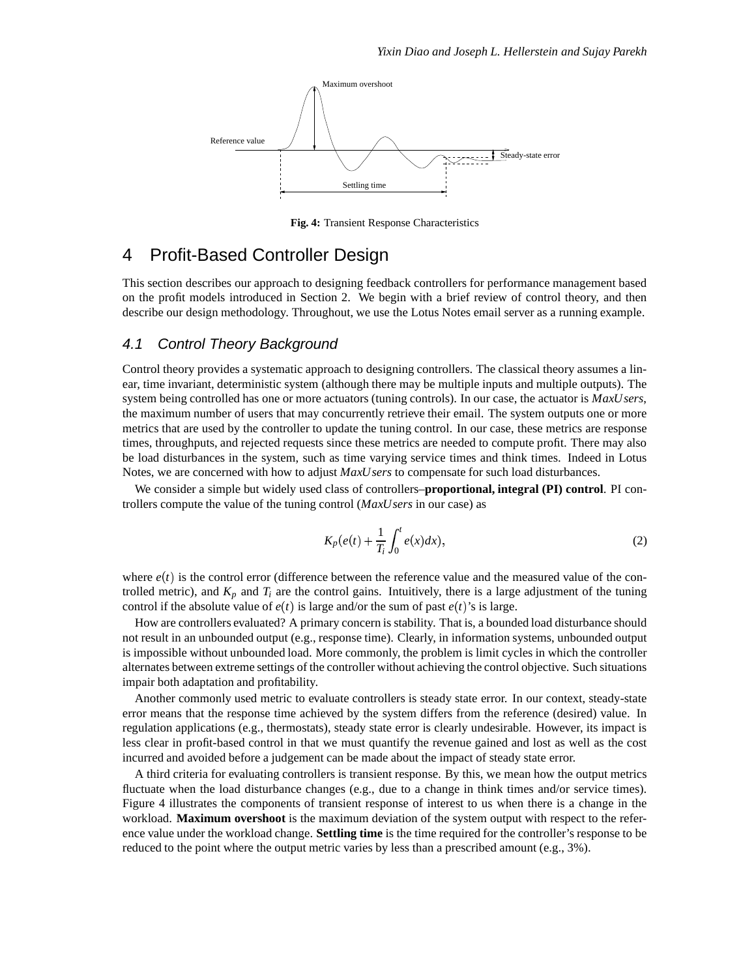

**Fig. 4:** Transient Response Characteristics

# 4 Profit-Based Controller Design

This section describes our approach to designing feedback controllers for performance management based on the profit models introduced in Section 2. We begin with a brief review of control theory, and then describe our design methodology. Throughout, we use the Lotus Notes email server as a running example.

#### 4.1 Control Theory Background

Control theory provides a systematic approach to designing controllers. The classical theory assumes a linear, time invariant, deterministic system (although there may be multiple inputs and multiple outputs). The system being controlled has one or more actuators (tuning controls). In our case, the actuator is *MaxUsers*, the maximum number of users that may concurrently retrieve their email. The system outputs one or more metrics that are used by the controller to update the tuning control. In our case, these metrics are response times, throughputs, and rejected requests since these metrics are needed to compute profit. There may also be load disturbances in the system, such as time varying service times and think times. Indeed in Lotus Notes, we are concerned with how to adjust *MaxUsers* to compensate for such load disturbances.

We consider a simple but widely used class of controllers–**proportional, integral (PI) control**. PI controllers compute the value of the tuning control (*MaxUsers* in our case) as

$$
K_p(e(t) + \frac{1}{T_i} \int_0^t e(x) dx), \qquad (2)
$$

where  $e(t)$  is the control error (difference between the reference value and the measured value of the controlled metric), and  $K_p$  and  $T_i$  are the control gains. Intuitively, there is a large adjustment of the tuning control if the absolute value of  $e(t)$  is large and/or the sum of past  $e(t)$ 's is large.

How are controllers evaluated? A primary concern is stability. That is, a bounded load disturbance should not result in an unbounded output (e.g., response time). Clearly, in information systems, unbounded output is impossible without unbounded load. More commonly, the problem is limit cycles in which the controller alternates between extreme settings of the controller without achieving the control objective. Such situations impair both adaptation and profitability.

Another commonly used metric to evaluate controllers is steady state error. In our context, steady-state error means that the response time achieved by the system differs from the reference (desired) value. In regulation applications (e.g., thermostats), steady state error is clearly undesirable. However, its impact is less clear in profit-based control in that we must quantify the revenue gained and lost as well as the cost incurred and avoided before a judgement can be made about the impact of steady state error.

A third criteria for evaluating controllers is transient response. By this, we mean how the output metrics fluctuate when the load disturbance changes (e.g., due to a change in think times and/or service times). Figure 4 illustrates the components of transient response of interest to us when there is a change in the workload. **Maximum overshoot** is the maximum deviation of the system output with respect to the reference value under the workload change. **Settling time** is the time required for the controller's response to be reduced to the point where the output metric varies by less than a prescribed amount (e.g., 3%).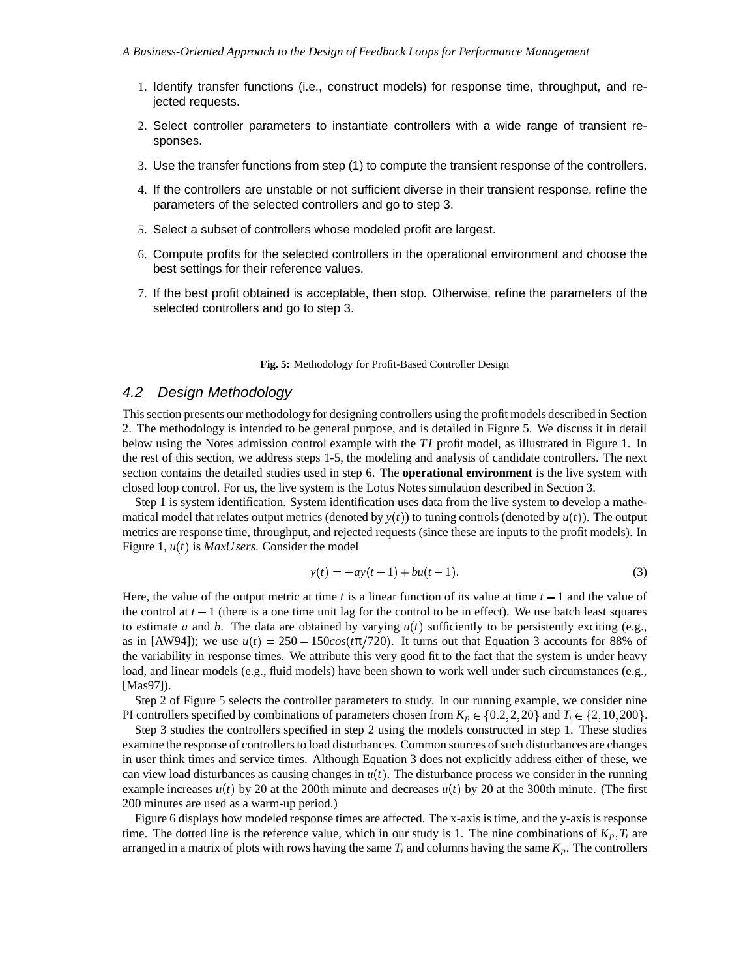- 1. Identify transfer functions (i.e., construct models) for response time, throughput, and rejected requests.
- 2. Select controller parameters to instantiate controllers with a wide range of transient responses.
- 3. Use the transfer functions from step (1) to compute the transient response of the controllers.
- 4. If the controllers are unstable or not sufficient diverse in their transient response, refine the parameters of the selected controllers and go to step 3.
- 5. Select a subset of controllers whose modeled profit are largest.
- 6. Compute profits for the selected controllers in the operational environment and choose the best settings for their reference values.
- 7. If the best profit obtained is acceptable, then stop. Otherwise, refine the parameters of the selected controllers and go to step 3.

**Fig. 5:** Methodology for Profit-Based Controller Design

#### 4.2 Design Methodology

This section presents our methodology for designing controllers using the profit models described in Section 2. The methodology is intended to be general purpose, and is detailed in Figure 5. We discuss it in detail below using the Notes admission control example with the *TI* profit model, as illustrated in Figure 1. In the rest of this section, we address steps 1-5, the modeling and analysis of candidate controllers. The next section contains the detailed studies used in step 6. The **operational environment** is the live system with closed loop control. For us, the live system is the Lotus Notes simulation described in Section 3.

Step 1 is system identification. System identification uses data from the live system to develop a mathematical model that relates output metrics (denoted by  $y(t)$ ) to tuning controls (denoted by  $u(t)$ ). The output metrics are response time, throughput, and rejected requests (since these are inputs to the profit models). In Figure 1,  $u(t)$  is *MaxUsers*. Consider the model

$$
y(t) = -ay(t-1) + bu(t-1).
$$
 (3)

Here, the value of the output metric at time  $t$  is a linear function of its value at time  $t - 1$  and the value of the control at  $t-1$  (there is a one time unit lag for the control to be in effect). We use batch least squares to estimate *a* and *b*. The data are obtained by varying  $u(t)$  sufficiently to be persistently exciting (e.g., as in [AW94]); we use  $u(t) = 250 - 150\cos(t\pi/720)$ . It turns out that Equation 3 accounts for 88% of the variability in response times. We attribute this very good fit to the fact that the system is under heavy load, and linear models (e.g., fluid models) have been shown to work well under such circumstances (e.g., [Mas97]).

Step 2 of Figure 5 selects the controller parameters to study. In our running example, we consider nine PI controllers specified by combinations of parameters chosen from  $K_p \in \{0.2, 2, 20\}$  and  $T_i \in \{2, 10, 200\}$ .

Step 3 studies the controllers specified in step 2 using the models constructed in step 1. These studies examine the response of controllers to load disturbances. Common sources of such disturbances are changes in user think times and service times. Although Equation 3 does not explicitly address either of these, we can view load disturbances as causing changes in  $u(t)$ . The disturbance process we consider in the running example increases  $u(t)$  by 20 at the 200th minute and decreases  $u(t)$  by 20 at the 300th minute. (The first 200 minutes are used as a warm-up period.)

Figure 6 displays how modeled response times are affected. The x-axis is time, and the y-axis is response time. The dotted line is the reference value, which in our study is 1. The nine combinations of  $K_p$ ,  $T_i$  are arranged in a matrix of plots with rows having the same  $T_i$  and columns having the same  $K_p$ . The controllers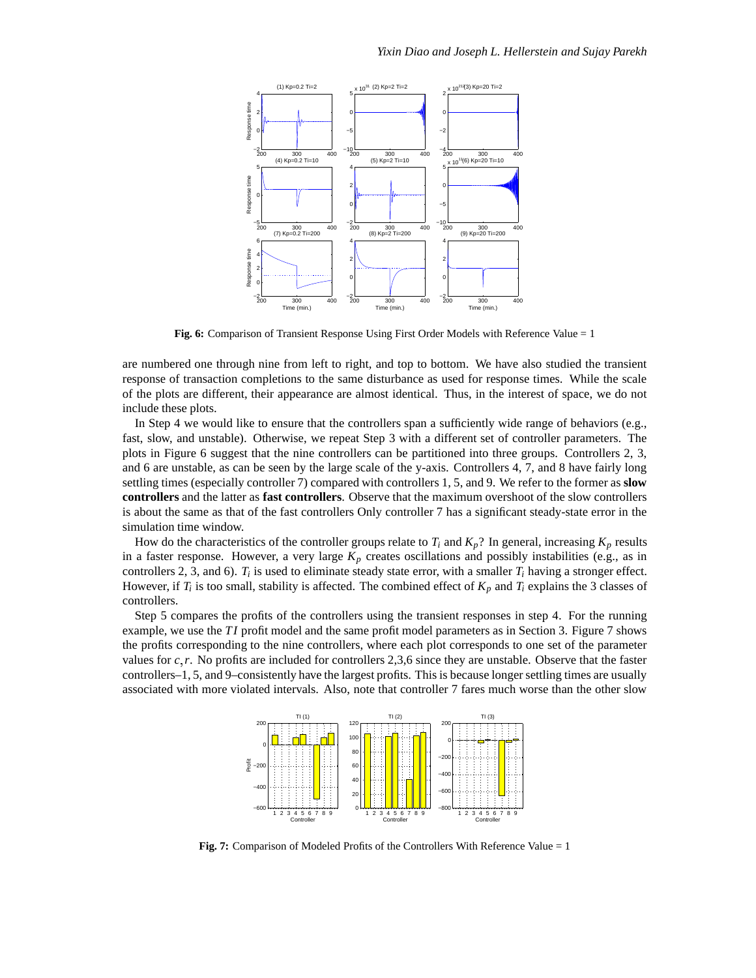

**Fig. 6:** Comparison of Transient Response Using First Order Models with Reference Value = 1

are numbered one through nine from left to right, and top to bottom. We have also studied the transient response of transaction completions to the same disturbance as used for response times. While the scale of the plots are different, their appearance are almost identical. Thus, in the interest of space, we do not include these plots.

In Step 4 we would like to ensure that the controllers span a sufficiently wide range of behaviors (e.g., fast, slow, and unstable). Otherwise, we repeat Step 3 with a different set of controller parameters. The plots in Figure 6 suggest that the nine controllers can be partitioned into three groups. Controllers 2, 3, and 6 are unstable, as can be seen by the large scale of the y-axis. Controllers 4, 7, and 8 have fairly long settling times (especially controller 7) compared with controllers 1, 5, and 9. We refer to the former as **slow controllers** and the latter as **fast controllers**. Observe that the maximum overshoot of the slow controllers is about the same as that of the fast controllers Only controller 7 has a significant steady-state error in the simulation time window.

How do the characteristics of the controller groups relate to  $T_i$  and  $K_p$ ? In general, increasing  $K_p$  results in a faster response. However, a very large  $K_p$  creates oscillations and possibly instabilities (e.g., as in controllers 2, 3, and 6).  $T_i$  is used to eliminate steady state error, with a smaller  $T_i$  having a stronger effect. However, if  $T_i$  is too small, stability is affected. The combined effect of  $K_p$  and  $T_i$  explains the 3 classes of controllers.

Step 5 compares the profits of the controllers using the transient responses in step 4. For the running example, we use the *TI* profit model and the same profit model parameters as in Section 3. Figure 7 shows the profits corresponding to the nine controllers, where each plot corresponds to one set of the parameter values for  $c, r$ . No profits are included for controllers 2,3,6 since they are unstable. Observe that the faster controllers–1, 5, and 9–consistently have the largest profits. This is because longer settling times are usually associated with more violated intervals. Also, note that controller 7 fares much worse than the other slow



**Fig. 7:** Comparison of Modeled Profits of the Controllers With Reference Value = 1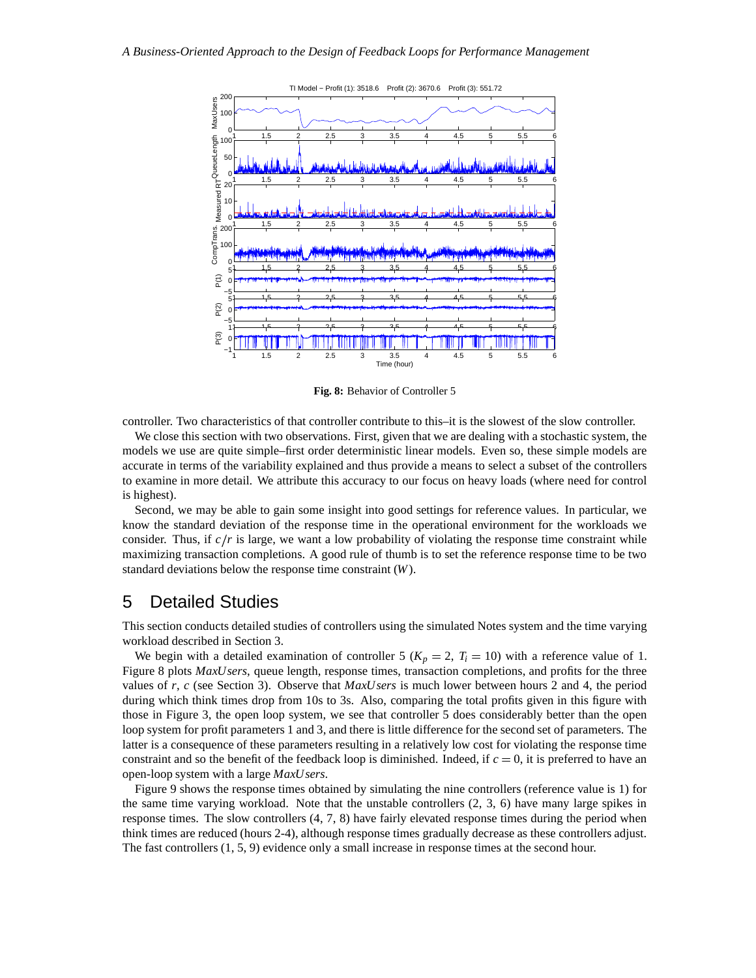

**Fig. 8:** Behavior of Controller 5

controller. Two characteristics of that controller contribute to this–it is the slowest of the slow controller.

We close this section with two observations. First, given that we are dealing with a stochastic system, the models we use are quite simple–first order deterministic linear models. Even so, these simple models are accurate in terms of the variability explained and thus provide a means to select a subset of the controllers to examine in more detail. We attribute this accuracy to our focus on heavy loads (where need for control is highest).

Second, we may be able to gain some insight into good settings for reference values. In particular, we know the standard deviation of the response time in the operational environment for the workloads we consider. Thus, if  $c/r$  is large, we want a low probability of violating the response time constraint while maximizing transaction completions. A good rule of thumb is to set the reference response time to be two standard deviations below the response time constraint (*W*).

## 5 Detailed Studies

This section conducts detailed studies of controllers using the simulated Notes system and the time varying workload described in Section 3.

We begin with a detailed examination of controller 5 ( $K_p = 2$ ,  $T_i = 10$ ) with a reference value of 1. Figure 8 plots *MaxUsers*, queue length, response times, transaction completions, and profits for the three values of *r*, *c* (see Section 3). Observe that *MaxUsers* is much lower between hours 2 and 4, the period during which think times drop from 10s to 3s. Also, comparing the total profits given in this figure with those in Figure 3, the open loop system, we see that controller 5 does considerably better than the open loop system for profit parameters 1 and 3, and there is little difference for the second set of parameters. The latter is a consequence of these parameters resulting in a relatively low cost for violating the response time constraint and so the benefit of the feedback loop is diminished. Indeed, if  $c = 0$ , it is preferred to have an open-loop system with a large *MaxUsers*.

Figure 9 shows the response times obtained by simulating the nine controllers (reference value is 1) for the same time varying workload. Note that the unstable controllers (2, 3, 6) have many large spikes in response times. The slow controllers (4, 7, 8) have fairly elevated response times during the period when think times are reduced (hours 2-4), although response times gradually decrease as these controllers adjust. The fast controllers (1, 5, 9) evidence only a small increase in response times at the second hour.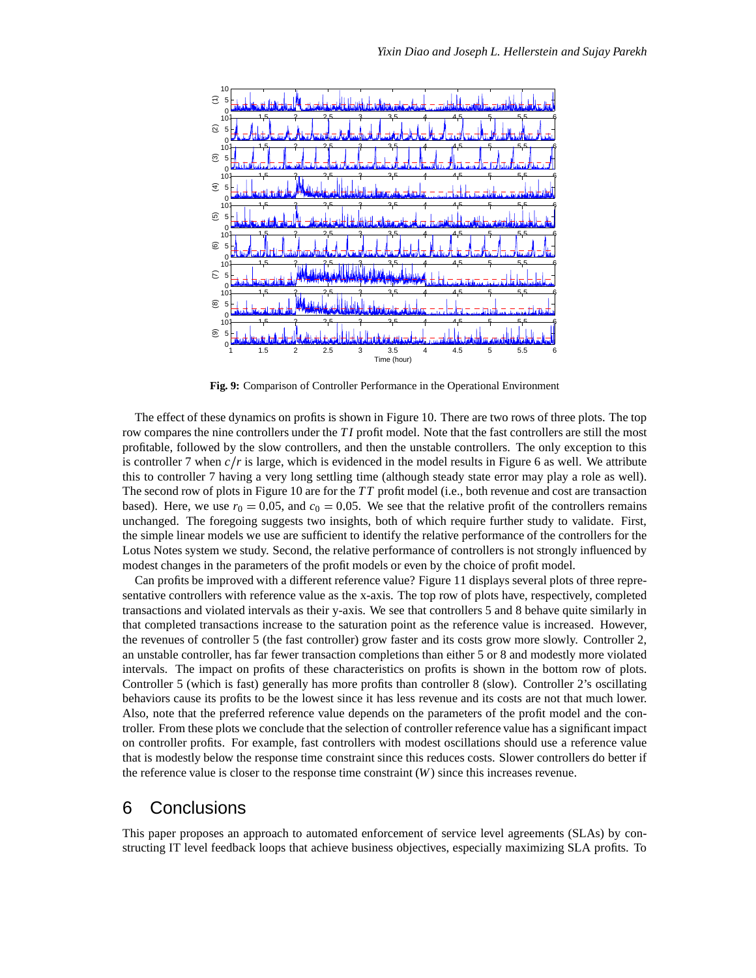

**Fig. 9:** Comparison of Controller Performance in the Operational Environment

The effect of these dynamics on profits is shown in Figure 10. There are two rows of three plots. The top row compares the nine controllers under the *TI* profit model. Note that the fast controllers are still the most profitable, followed by the slow controllers, and then the unstable controllers. The only exception to this is controller 7 when  $c/r$  is large, which is evidenced in the model results in Figure 6 as well. We attribute this to controller 7 having a very long settling time (although steady state error may play a role as well). The second row of plots in Figure 10 are for the *TT* profit model (i.e., both revenue and cost are transaction based). Here, we use  $r_0 = 0.05$ , and  $c_0 = 0.05$ . We see that the relative profit of the controllers remains unchanged. The foregoing suggests two insights, both of which require further study to validate. First, the simple linear models we use are sufficient to identify the relative performance of the controllers for the Lotus Notes system we study. Second, the relative performance of controllers is not strongly influenced by modest changes in the parameters of the profit models or even by the choice of profit model.

Can profits be improved with a different reference value? Figure 11 displays several plots of three representative controllers with reference value as the x-axis. The top row of plots have, respectively, completed transactions and violated intervals as their y-axis. We see that controllers 5 and 8 behave quite similarly in that completed transactions increase to the saturation point as the reference value is increased. However, the revenues of controller 5 (the fast controller) grow faster and its costs grow more slowly. Controller 2, an unstable controller, has far fewer transaction completions than either 5 or 8 and modestly more violated intervals. The impact on profits of these characteristics on profits is shown in the bottom row of plots. Controller 5 (which is fast) generally has more profits than controller 8 (slow). Controller 2's oscillating behaviors cause its profits to be the lowest since it has less revenue and its costs are not that much lower. Also, note that the preferred reference value depends on the parameters of the profit model and the controller. From these plots we conclude that the selection of controller reference value has a significant impact on controller profits. For example, fast controllers with modest oscillations should use a reference value that is modestly below the response time constraint since this reduces costs. Slower controllers do better if the reference value is closer to the response time constraint (*W*) since this increases revenue.

## 6 Conclusions

This paper proposes an approach to automated enforcement of service level agreements (SLAs) by constructing IT level feedback loops that achieve business objectives, especially maximizing SLA profits. To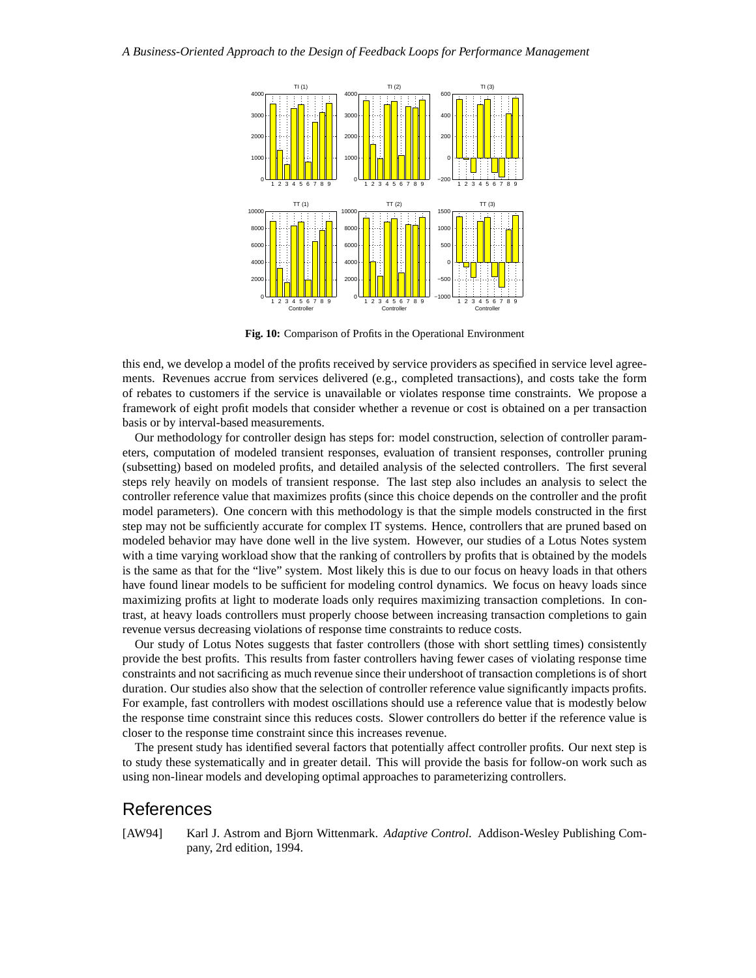

**Fig. 10:** Comparison of Profits in the Operational Environment

this end, we develop a model of the profits received by service providers as specified in service level agreements. Revenues accrue from services delivered (e.g., completed transactions), and costs take the form of rebates to customers if the service is unavailable or violates response time constraints. We propose a framework of eight profit models that consider whether a revenue or cost is obtained on a per transaction basis or by interval-based measurements.

Our methodology for controller design has steps for: model construction, selection of controller parameters, computation of modeled transient responses, evaluation of transient responses, controller pruning (subsetting) based on modeled profits, and detailed analysis of the selected controllers. The first several steps rely heavily on models of transient response. The last step also includes an analysis to select the controller reference value that maximizes profits (since this choice depends on the controller and the profit model parameters). One concern with this methodology is that the simple models constructed in the first step may not be sufficiently accurate for complex IT systems. Hence, controllers that are pruned based on modeled behavior may have done well in the live system. However, our studies of a Lotus Notes system with a time varying workload show that the ranking of controllers by profits that is obtained by the models is the same as that for the "live" system. Most likely this is due to our focus on heavy loads in that others have found linear models to be sufficient for modeling control dynamics. We focus on heavy loads since maximizing profits at light to moderate loads only requires maximizing transaction completions. In contrast, at heavy loads controllers must properly choose between increasing transaction completions to gain revenue versus decreasing violations of response time constraints to reduce costs.

Our study of Lotus Notes suggests that faster controllers (those with short settling times) consistently provide the best profits. This results from faster controllers having fewer cases of violating response time constraints and not sacrificing as much revenue since their undershoot of transaction completions is of short duration. Our studies also show that the selection of controller reference value significantly impacts profits. For example, fast controllers with modest oscillations should use a reference value that is modestly below the response time constraint since this reduces costs. Slower controllers do better if the reference value is closer to the response time constraint since this increases revenue.

The present study has identified several factors that potentially affect controller profits. Our next step is to study these systematically and in greater detail. This will provide the basis for follow-on work such as using non-linear models and developing optimal approaches to parameterizing controllers.

## References

[AW94] Karl J. Astrom and Bjorn Wittenmark. *Adaptive Control*. Addison-Wesley Publishing Company, 2rd edition, 1994.